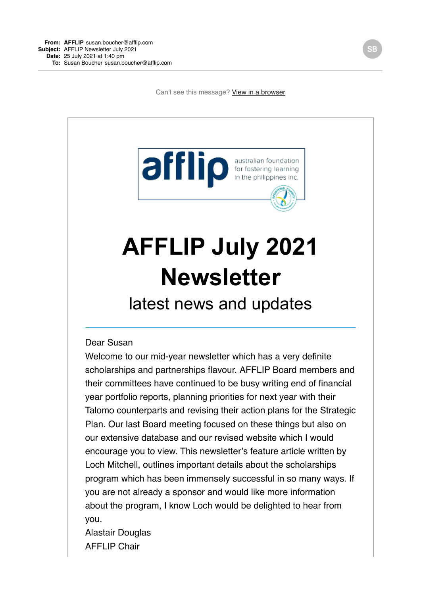Can't see this message? [View in a browser](https://shoutout.wix.com/so/1aNgNwKua/c?w=LYrM0wssO4btVLb7b4cB3sKbhUtJODR7B2aDaLtUD0k.eyJ1IjoiaHR0cHM6Ly9zaG91dG91dC53aXguY29tL3NvLzFhTmdOd0t1YT9sYW5ndWFnZVRhZz1lbiIsIm0iOiJtYWlsIiwiYyI6IjNmM2E0ODZiLTQwY2ItNDk2NC1iYWQ2LWExNzNmMzJjYmI1MCJ9)



# **AFFLIP July 2021 Newsletter**

latest news and updates

#### Dear Susan

Welcome to our mid-year newsletter which has a very definite scholarships and partnerships flavour. AFFLIP Board members and their committees have continued to be busy writing end of financial year portfolio reports, planning priorities for next year with their Talomo counterparts and revising their action plans for the Strategic Plan. Our last Board meeting focused on these things but also on our extensive database and our revised website which I would encourage you to view. This newsletter's feature article written by Loch Mitchell, outlines important details about the scholarships program which has been immensely successful in so many ways. If you are not already a sponsor and would like more information about the program, I know Loch would be delighted to hear from you.

Alastair Douglas AFFLIP Chair

SE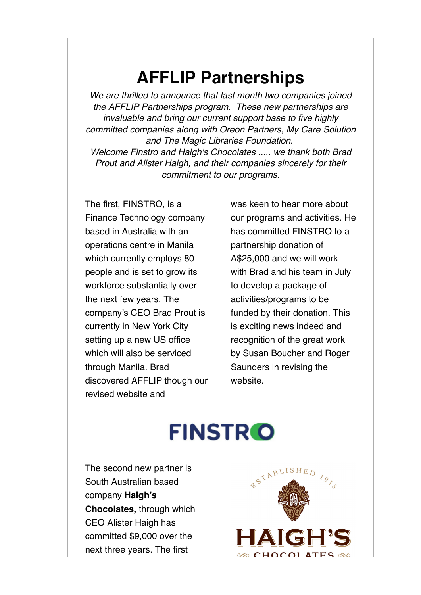#### **AFFLIP Partnerships**

*We are thrilled to announce that last month two companies joined the AFFLIP Partnerships program. These new partnerships are invaluable and bring our current support base to five highly committed companies along with Oreon Partners, My Care Solution and The Magic Libraries Foundation. Welcome Finstro and Haigh's Chocolates ..... we thank both Brad Prout and Alister Haigh, and their companies sincerely for their commitment to our programs.*

The first, FINSTRO, is a Finance Technology company based in Australia with an operations centre in Manila which currently employs 80 people and is set to grow its workforce substantially over the next few years. The company's CEO Brad Prout is currently in New York City setting up a new US office which will also be serviced through Manila. Brad discovered AFFLIP though our revised website and

was keen to hear more about our programs and activities. He has committed FINSTRO to a partnership donation of A\$25,000 and we will work with Brad and his team in July to develop a package of activities/programs to be funded by their donation. This is exciting news indeed and recognition of the great work by Susan Boucher and Roger Saunders in revising the website.

# **FINSTRO**

The second new partner is South Australian based company **Haigh's Chocolates,** through which CEO Alister Haigh has committed \$9,000 over the next three years. The first

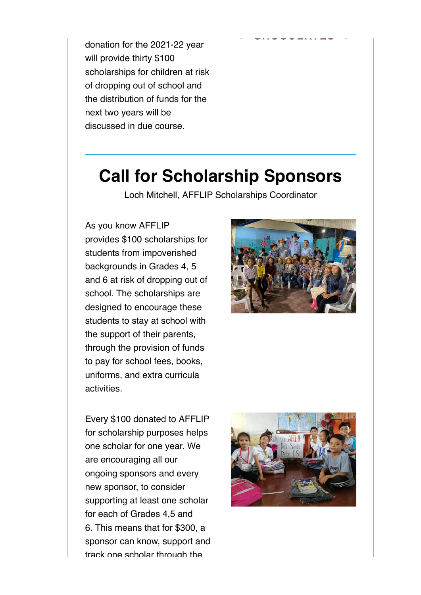donation for the 2021-22 year will provide thirty \$100 scholarships for children at risk of dropping out of school and the distribution of funds for the next two years will be discussed in due course.

#### **Call for Scholarship Sponsors**

Loch Mitchell, AFFLIP Scholarships Coordinator

As you know AFFLIP provides \$100 scholarships for students from impoverished backgrounds in Grades 4, 5 and 6 at risk of dropping out of school. The scholarships are designed to encourage these students to stay at school with the support of their parents, through the provision of funds to pay for school fees, books, uniforms, and extra curricula activities.



Every \$100 donated to AFFLIP for scholarship purposes helps one scholar for one year. We are encouraging all our ongoing sponsors and every new sponsor, to consider supporting at least one scholar for each of Grades 4,5 and 6. This means that for \$300, a sponsor can know, support and track one scholar through the

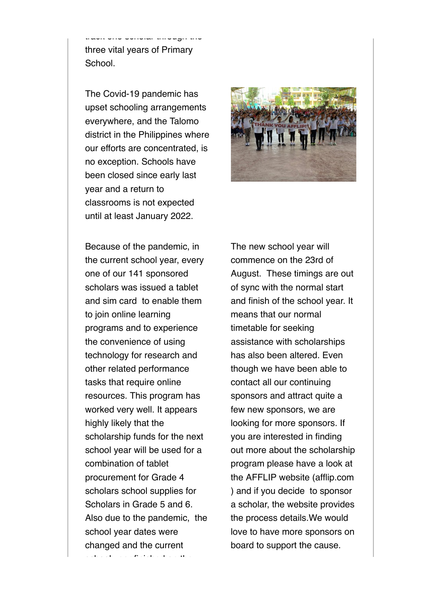three vital years of Primary School.

track one scholar through the scholar through the scholar through the scholar through the scholar through the <br>The scholar through the scholar through the scholar through the scholar through the scholar through the schola<br>

The Covid-19 pandemic has upset schooling arrangements everywhere, and the Talomo district in the Philippines where our efforts are concentrated, is no exception. Schools have been closed since early last year and a return to classrooms is not expected until at least January 2022.



Because of the pandemic, in the current school year, every one of our 141 sponsored scholars was issued a tablet and sim card to enable them to join online learning programs and to experience the convenience of using technology for research and other related performance tasks that require online resources. This program has worked very well. It appears highly likely that the scholarship funds for the next school year will be used for a combination of tablet procurement for Grade 4 scholars school supplies for Scholars in Grade 5 and 6. Also due to the pandemic, the school year dates were changed and the current

school year finished on the

The new school year will commence on the 23rd of August. These timings are out of sync with the normal start and finish of the school year. It means that our normal timetable for seeking assistance with scholarships has also been altered. Even though we have been able to contact all our continuing sponsors and attract quite a few new sponsors, we are looking for more sponsors. If you are interested in finding out more about the scholarship program please have a look at the AFFLIP website (afflip.com ) and if you decide to sponsor a scholar, the website provides the process details.We would love to have more sponsors on board to support the cause.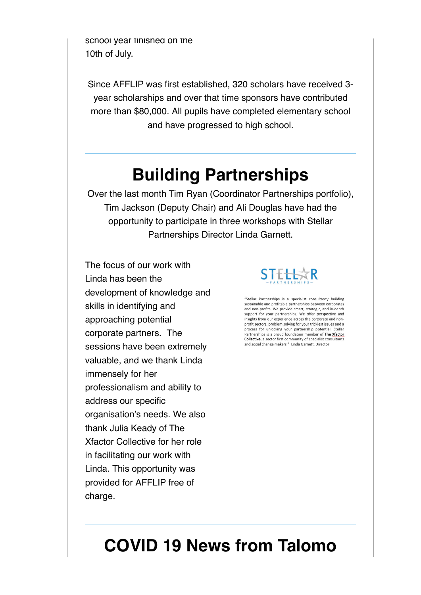school year finished on the 10th of July.

Since AFFLIP was first established, 320 scholars have received 3 year scholarships and over that time sponsors have contributed more than \$80,000. All pupils have completed elementary school and have progressed to high school.

### **Building Partnerships**

Over the last month Tim Ryan (Coordinator Partnerships portfolio), Tim Jackson (Deputy Chair) and Ali Douglas have had the opportunity to participate in three workshops with Stellar Partnerships Director Linda Garnett.

The focus of our work with Linda has been the development of knowledge and skills in identifying and approaching potential corporate partners. The sessions have been extremely valuable, and we thank Linda immensely for her professionalism and ability to address our specific organisation's needs. We also thank Julia Keady of The Xfactor Collective for her role in facilitating our work with Linda. This opportunity was provided for AFFLIP free of charge.



"Stellar Partnerships is a specialist consultancy building<br>sustainable and profitable partnerships between corporates and non-profits. We provide smart, strategic, and in-depth support for your partnerships. We offer perspective and insights from our experience across the corporate and nonprofit sectors, problem solving for your trickiest issues and a process for unlocking your partnership potential. Stellar Partnerships is a proud foundation member of The Xfactor Collective, a sector first community of specialist consultants and social change makers." Linda Garnett, Director

# **COVID 19 News from Talomo**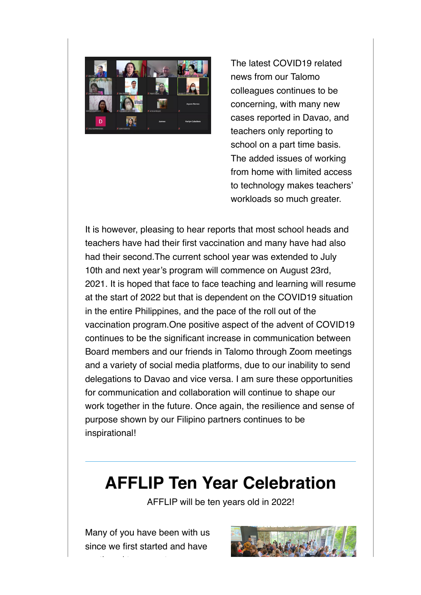

The latest COVID19 related news from our Talomo colleagues continues to be concerning, with many new cases reported in Davao, and teachers only reporting to school on a part time basis. The added issues of working from home with limited access to technology makes teachers' workloads so much greater.

It is however, pleasing to hear reports that most school heads and teachers have had their first vaccination and many have had also had their second.The current school year was extended to July 10th and next year's program will commence on August 23rd, 2021. It is hoped that face to face teaching and learning will resume at the start of 2022 but that is dependent on the COVID19 situation in the entire Philippines, and the pace of the roll out of the vaccination program.One positive aspect of the advent of COVID19 continues to be the significant increase in communication between Board members and our friends in Talomo through Zoom meetings and a variety of social media platforms, due to our inability to send delegations to Davao and vice versa. I am sure these opportunities for communication and collaboration will continue to shape our work together in the future. Once again, the resilience and sense of purpose shown by our Filipino partners continues to be inspirational!

#### **AFFLIP Ten Year Celebration**

AFFLIP will be ten years old in 2022!

Many of you have been with us since we first started and have

continued to support our

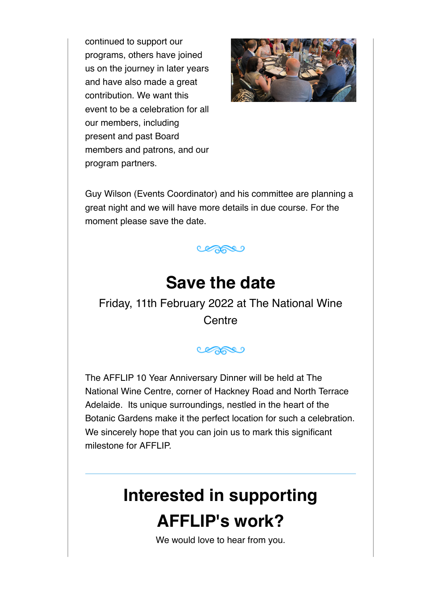continued to support our programs, others have joined us on the journey in later years and have also made a great contribution. We want this event to be a celebration for all our members, including present and past Board members and patrons, and our program partners.



Guy Wilson (Events Coordinator) and his committee are planning a great night and we will have more details in due course. For the moment please save the date.



### **Save the date**

Friday, 11th February 2022 at The National Wine **Centre** 

copper

The AFFLIP 10 Year Anniversary Dinner will be held at The National Wine Centre, corner of Hackney Road and North Terrace Adelaide. Its unique surroundings, nestled in the heart of the Botanic Gardens make it the perfect location for such a celebration. We sincerely hope that you can join us to mark this significant milestone for AFFLIP.

## **Interested in supporting AFFLIP's work?**

We would love to hear from you.